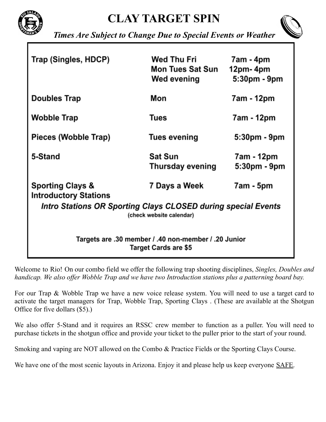



*Times Are Subject to Change Due to Special Events or Weather*

| Trap (Singles, HDCP)                                                                      | Wed Thu Fri<br><b>Mon Tues Sat Sun</b><br>Wed evening | 7am - 4pm<br>12pm-4pm<br>5:30pm - 9pm |
|-------------------------------------------------------------------------------------------|-------------------------------------------------------|---------------------------------------|
| <b>Doubles Trap</b>                                                                       | Mon                                                   | 7am - 12pm                            |
| Wobble Trap                                                                               | Tues                                                  | 7am - 12pm                            |
| Pieces (Wobble Trap)                                                                      | Tues evening                                          | 5:30pm - 9pm                          |
| 5-Stand                                                                                   | <b>Sat Sun</b><br>Thursday evening                    | 7am - 12pm<br>5:30pm - 9pm            |
| Sporting Clays &<br><b>Introductory Stations</b>                                          | 7 Days a Week                                         | 7am - 5pm                             |
| Intro Stations OR Sporting Clays CLOSED during special Events<br>(check website calendar) |                                                       |                                       |
| Targets are .30 member / .40 non-member / .20 Junior<br><b>Target Cards are \$5</b>       |                                                       |                                       |

Welcome to Rio! On our combo field we offer the following trap shooting disciplines, *Singles, Doubles and* handicap. We also offer Wobble Trap and we have two Introduction stations plus a patterning board bay.

For our Trap & Wobble Trap we have a new voice release system. You will need to use a target card to activate the target managers for Trap, Wobble Trap, Sporting Clays . (These are available at the Shotgun Office for five dollars (\$5).)

We also offer 5-Stand and it requires an RSSC crew member to function as a puller. You will need to purchase tickets in the shotgun office and provide your ticket to the puller prior to the start of your round.

Smoking and vaping are NOT allowed on the Combo & Practice Fields or the Sporting Clays Course.

We have one of the most scenic layouts in Arizona. Enjoy it and please help us keep everyone SAFE.